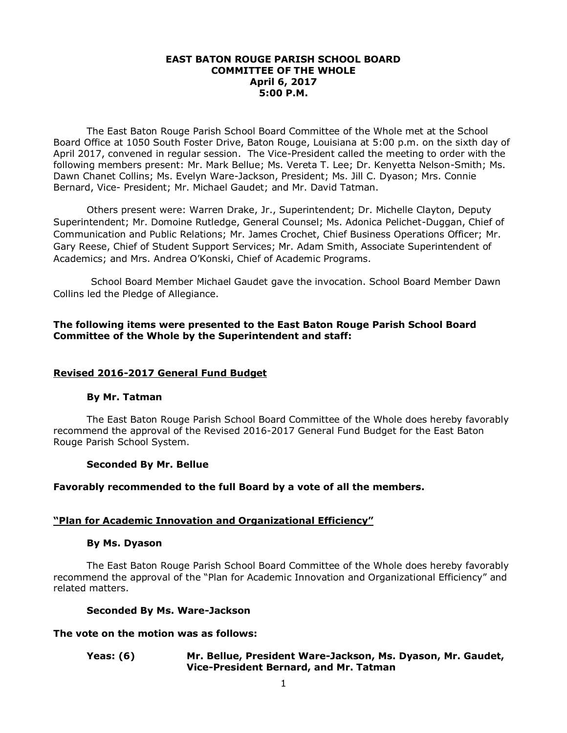### **EAST BATON ROUGE PARISH SCHOOL BOARD COMMITTEE OF THE WHOLE April 6, 2017 5:00 P.M.**

The East Baton Rouge Parish School Board Committee of the Whole met at the School Board Office at 1050 South Foster Drive, Baton Rouge, Louisiana at 5:00 p.m. on the sixth day of April 2017, convened in regular session. The Vice-President called the meeting to order with the following members present: Mr. Mark Bellue; Ms. Vereta T. Lee; Dr. Kenyetta Nelson-Smith; Ms. Dawn Chanet Collins; Ms. Evelyn Ware-Jackson, President; Ms. Jill C. Dyason; Mrs. Connie Bernard, Vice- President; Mr. Michael Gaudet; and Mr. David Tatman.

Others present were: Warren Drake, Jr., Superintendent; Dr. Michelle Clayton, Deputy Superintendent; Mr. Domoine Rutledge, General Counsel; Ms. Adonica Pelichet-Duggan, Chief of Communication and Public Relations; Mr. James Crochet, Chief Business Operations Officer; Mr. Gary Reese, Chief of Student Support Services; Mr. Adam Smith, Associate Superintendent of Academics; and Mrs. Andrea O'Konski, Chief of Academic Programs.

School Board Member Michael Gaudet gave the invocation. School Board Member Dawn Collins led the Pledge of Allegiance.

# **The following items were presented to the East Baton Rouge Parish School Board Committee of the Whole by the Superintendent and staff:**

### **Revised 2016-2017 General Fund Budget**

### **By Mr. Tatman**

The East Baton Rouge Parish School Board Committee of the Whole does hereby favorably recommend the approval of the Revised 2016-2017 General Fund Budget for the East Baton Rouge Parish School System.

### **Seconded By Mr. Bellue**

### **Favorably recommended to the full Board by a vote of all the members.**

#### **"Plan for Academic Innovation and Organizational Efficiency"**

#### **By Ms. Dyason**

The East Baton Rouge Parish School Board Committee of the Whole does hereby favorably recommend the approval of the "Plan for Academic Innovation and Organizational Efficiency" and related matters.

#### **Seconded By Ms. Ware-Jackson**

### **The vote on the motion was as follows:**

#### **Yeas: (6) Mr. Bellue, President Ware-Jackson, Ms. Dyason, Mr. Gaudet, Vice-President Bernard, and Mr. Tatman**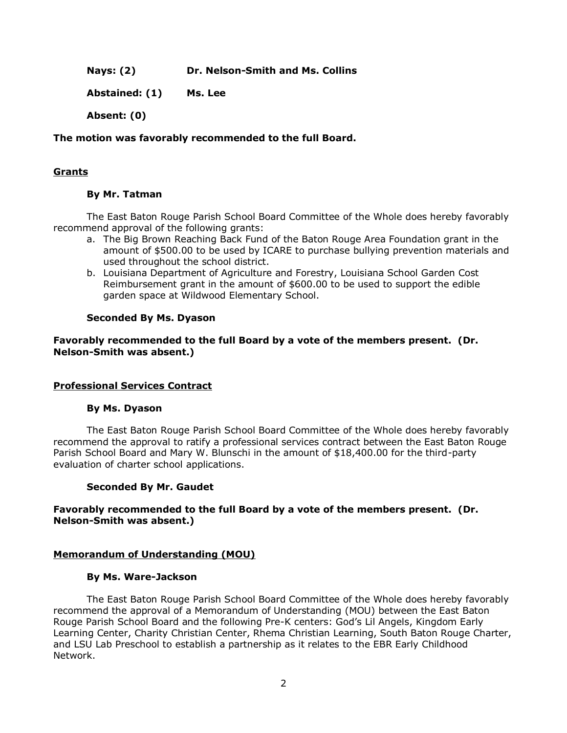**Nays: (2) Dr. Nelson-Smith and Ms. Collins**

**Abstained: (1) Ms. Lee** 

**Absent: (0)**

## **The motion was favorably recommended to the full Board.**

# **Grants**

# **By Mr. Tatman**

The East Baton Rouge Parish School Board Committee of the Whole does hereby favorably recommend approval of the following grants:

- a. The Big Brown Reaching Back Fund of the Baton Rouge Area Foundation grant in the amount of \$500.00 to be used by ICARE to purchase bullying prevention materials and used throughout the school district.
- b. Louisiana Department of Agriculture and Forestry, Louisiana School Garden Cost Reimbursement grant in the amount of \$600.00 to be used to support the edible garden space at Wildwood Elementary School.

# **Seconded By Ms. Dyason**

**Favorably recommended to the full Board by a vote of the members present. (Dr. Nelson-Smith was absent.)**

### **Professional Services Contract**

### **By Ms. Dyason**

The East Baton Rouge Parish School Board Committee of the Whole does hereby favorably recommend the approval to ratify a professional services contract between the East Baton Rouge Parish School Board and Mary W. Blunschi in the amount of \$18,400.00 for the third-party evaluation of charter school applications.

### **Seconded By Mr. Gaudet**

# **Favorably recommended to the full Board by a vote of the members present. (Dr. Nelson-Smith was absent.)**

# **Memorandum of Understanding (MOU)**

### **By Ms. Ware-Jackson**

The East Baton Rouge Parish School Board Committee of the Whole does hereby favorably recommend the approval of a Memorandum of Understanding (MOU) between the East Baton Rouge Parish School Board and the following Pre-K centers: God's Lil Angels, Kingdom Early Learning Center, Charity Christian Center, Rhema Christian Learning, South Baton Rouge Charter, and LSU Lab Preschool to establish a partnership as it relates to the EBR Early Childhood Network.